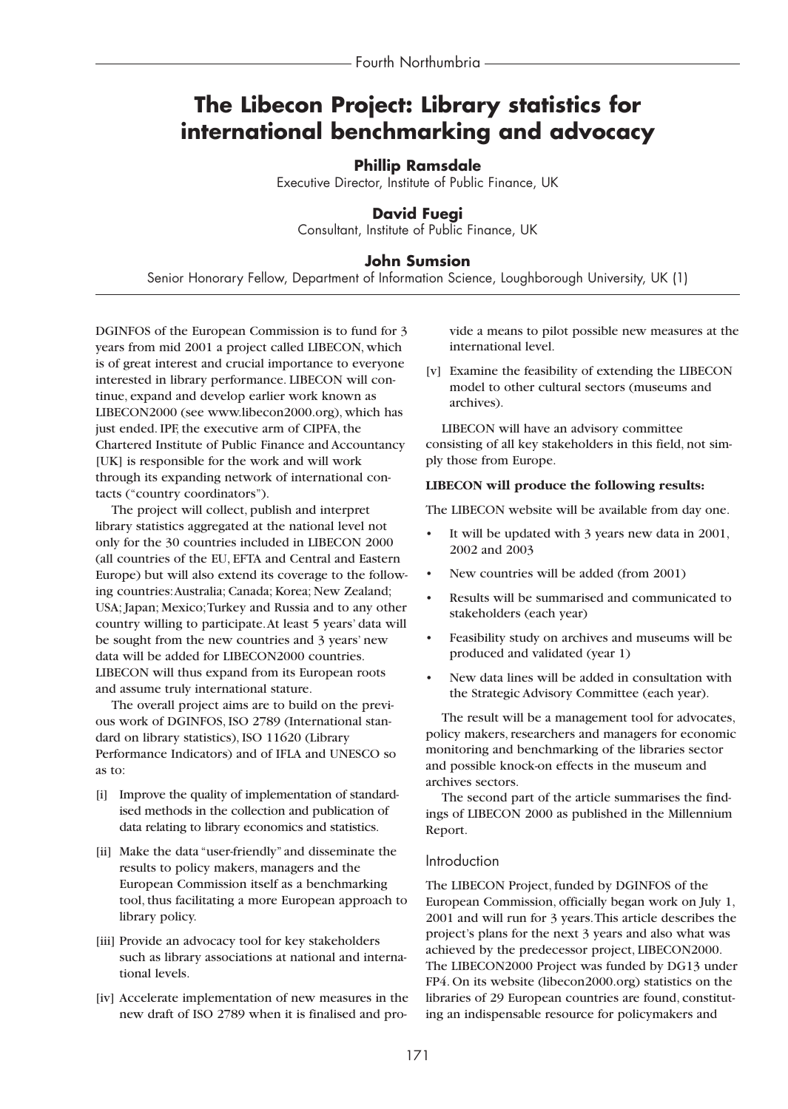# **The Libecon Project: Library statistics for international benchmarking and advocacy**

## **Phillip Ramsdale**

Executive Director, Institute of Public Finance, UK

## **David Fuegi**

Consultant, Institute of Public Finance, UK

## **John Sumsion**

Senior Honorary Fellow, Department of Information Science, Loughborough University, UK (1)

DGINFOS of the European Commission is to fund for 3 years from mid 2001 a project called LIBECON, which is of great interest and crucial importance to everyone interested in library performance. LIBECON will continue, expand and develop earlier work known as LIBECON2000 (see www.libecon2000.org), which has just ended. IPF, the executive arm of CIPFA, the Chartered Institute of Public Finance and Accountancy [UK] is responsible for the work and will work through its expanding network of international contacts ("country coordinators").

The project will collect, publish and interpret library statistics aggregated at the national level not only for the 30 countries included in LIBECON 2000 (all countries of the EU, EFTA and Central and Eastern Europe) but will also extend its coverage to the following countries:Australia; Canada; Korea; New Zealand; USA; Japan; Mexico;Turkey and Russia and to any other country willing to participate.At least 5 years' data will be sought from the new countries and 3 years' new data will be added for LIBECON2000 countries. LIBECON will thus expand from its European roots and assume truly international stature.

The overall project aims are to build on the previous work of DGINFOS, ISO 2789 (International standard on library statistics), ISO 11620 (Library Performance Indicators) and of IFLA and UNESCO so as to:

- [i] Improve the quality of implementation of standardised methods in the collection and publication of data relating to library economics and statistics.
- [ii] Make the data "user-friendly" and disseminate the results to policy makers, managers and the European Commission itself as a benchmarking tool, thus facilitating a more European approach to library policy.
- [iii] Provide an advocacy tool for key stakeholders such as library associations at national and international levels.
- [iv] Accelerate implementation of new measures in the new draft of ISO 2789 when it is finalised and pro-

vide a means to pilot possible new measures at the international level.

[v] Examine the feasibility of extending the LIBECON model to other cultural sectors (museums and archives).

LIBECON will have an advisory committee consisting of all key stakeholders in this field, not simply those from Europe.

### **LIBECON will produce the following results:**

The LIBECON website will be available from day one.

- It will be updated with 3 years new data in 2001, 2002 and 2003
- New countries will be added (from 2001)
- Results will be summarised and communicated to stakeholders (each year)
- Feasibility study on archives and museums will be produced and validated (year 1)
- New data lines will be added in consultation with the Strategic Advisory Committee (each year).

The result will be a management tool for advocates, policy makers, researchers and managers for economic monitoring and benchmarking of the libraries sector and possible knock-on effects in the museum and archives sectors.

The second part of the article summarises the findings of LIBECON 2000 as published in the Millennium Report.

#### Introduction

The LIBECON Project, funded by DGINFOS of the European Commission, officially began work on July 1, 2001 and will run for 3 years.This article describes the project's plans for the next 3 years and also what was achieved by the predecessor project, LIBECON2000. The LIBECON2000 Project was funded by DG13 under FP4. On its website (libecon2000.org) statistics on the libraries of 29 European countries are found, constituting an indispensable resource for policymakers and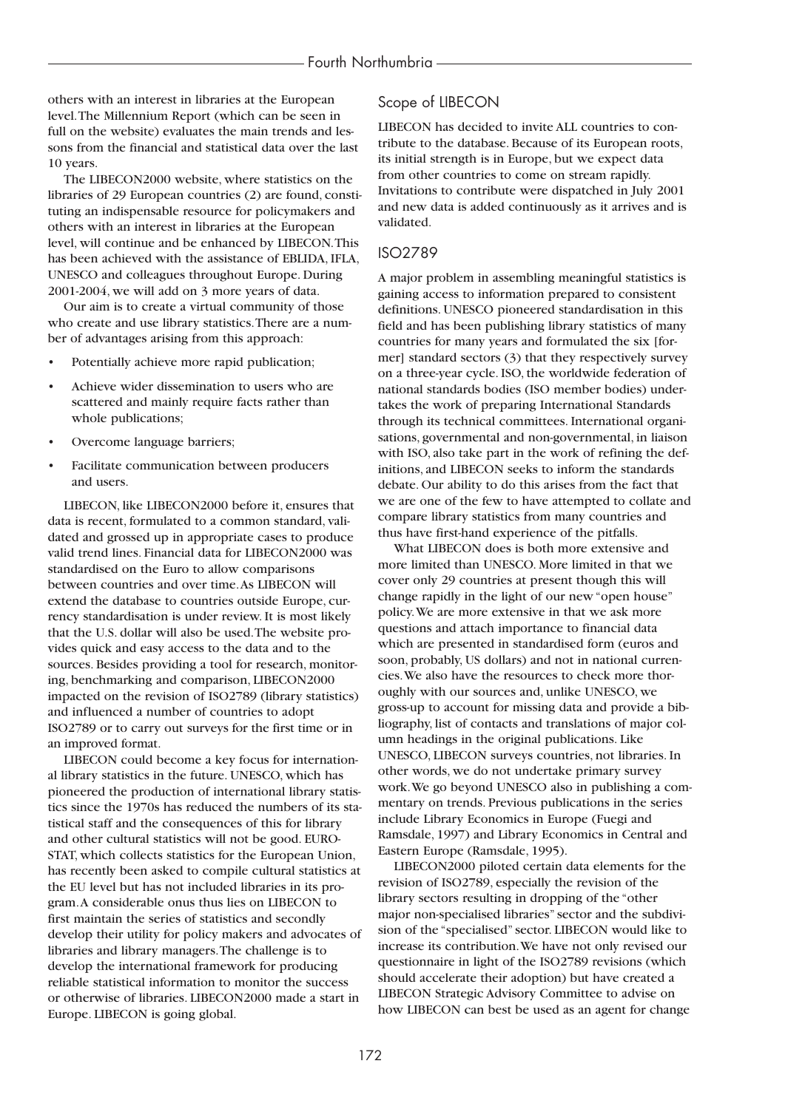others with an interest in libraries at the European level.The Millennium Report (which can be seen in full on the website) evaluates the main trends and lessons from the financial and statistical data over the last 10 years.

The LIBECON2000 website, where statistics on the libraries of 29 European countries (2) are found, constituting an indispensable resource for policymakers and others with an interest in libraries at the European level, will continue and be enhanced by LIBECON.This has been achieved with the assistance of EBLIDA, IFLA, UNESCO and colleagues throughout Europe. During 2001-2004, we will add on 3 more years of data.

Our aim is to create a virtual community of those who create and use library statistics.There are a number of advantages arising from this approach:

- Potentially achieve more rapid publication;
- Achieve wider dissemination to users who are scattered and mainly require facts rather than whole publications;
- Overcome language barriers;
- Facilitate communication between producers and users.

LIBECON, like LIBECON2000 before it, ensures that data is recent, formulated to a common standard, validated and grossed up in appropriate cases to produce valid trend lines. Financial data for LIBECON2000 was standardised on the Euro to allow comparisons between countries and over time.As LIBECON will extend the database to countries outside Europe, currency standardisation is under review. It is most likely that the U.S. dollar will also be used.The website provides quick and easy access to the data and to the sources. Besides providing a tool for research, monitoring, benchmarking and comparison, LIBECON2000 impacted on the revision of ISO2789 (library statistics) and influenced a number of countries to adopt ISO2789 or to carry out surveys for the first time or in an improved format.

LIBECON could become a key focus for international library statistics in the future. UNESCO, which has pioneered the production of international library statistics since the 1970s has reduced the numbers of its statistical staff and the consequences of this for library and other cultural statistics will not be good. EURO-STAT, which collects statistics for the European Union, has recently been asked to compile cultural statistics at the EU level but has not included libraries in its program.A considerable onus thus lies on LIBECON to first maintain the series of statistics and secondly develop their utility for policy makers and advocates of libraries and library managers.The challenge is to develop the international framework for producing reliable statistical information to monitor the success or otherwise of libraries. LIBECON2000 made a start in Europe. LIBECON is going global.

## Scope of LIBECON

LIBECON has decided to invite ALL countries to contribute to the database. Because of its European roots, its initial strength is in Europe, but we expect data from other countries to come on stream rapidly. Invitations to contribute were dispatched in July 2001 and new data is added continuously as it arrives and is validated.

## ISO2789

A major problem in assembling meaningful statistics is gaining access to information prepared to consistent definitions. UNESCO pioneered standardisation in this field and has been publishing library statistics of many countries for many years and formulated the six [former] standard sectors (3) that they respectively survey on a three-year cycle. ISO, the worldwide federation of national standards bodies (ISO member bodies) undertakes the work of preparing International Standards through its technical committees. International organisations, governmental and non-governmental, in liaison with ISO, also take part in the work of refining the definitions, and LIBECON seeks to inform the standards debate. Our ability to do this arises from the fact that we are one of the few to have attempted to collate and compare library statistics from many countries and thus have first-hand experience of the pitfalls.

What LIBECON does is both more extensive and more limited than UNESCO. More limited in that we cover only 29 countries at present though this will change rapidly in the light of our new "open house" policy.We are more extensive in that we ask more questions and attach importance to financial data which are presented in standardised form (euros and soon, probably, US dollars) and not in national currencies.We also have the resources to check more thoroughly with our sources and, unlike UNESCO, we gross-up to account for missing data and provide a bibliography, list of contacts and translations of major column headings in the original publications. Like UNESCO, LIBECON surveys countries, not libraries. In other words, we do not undertake primary survey work.We go beyond UNESCO also in publishing a commentary on trends. Previous publications in the series include Library Economics in Europe (Fuegi and Ramsdale, 1997) and Library Economics in Central and Eastern Europe (Ramsdale, 1995).

LIBECON2000 piloted certain data elements for the revision of ISO2789, especially the revision of the library sectors resulting in dropping of the "other major non-specialised libraries" sector and the subdivision of the "specialised" sector. LIBECON would like to increase its contribution.We have not only revised our questionnaire in light of the ISO2789 revisions (which should accelerate their adoption) but have created a LIBECON Strategic Advisory Committee to advise on how LIBECON can best be used as an agent for change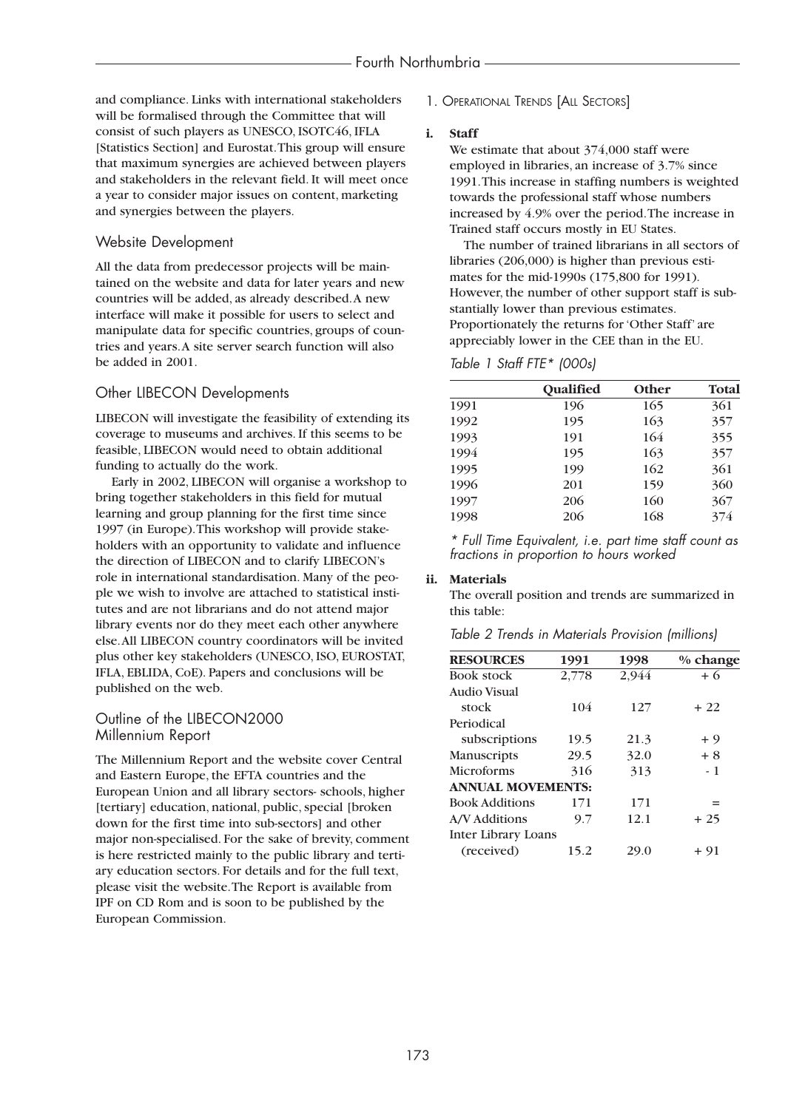and compliance. Links with international stakeholders will be formalised through the Committee that will consist of such players as UNESCO, ISOTC46, IFLA [Statistics Section] and Eurostat.This group will ensure that maximum synergies are achieved between players and stakeholders in the relevant field. It will meet once a year to consider major issues on content, marketing and synergies between the players.

## Website Development

All the data from predecessor projects will be maintained on the website and data for later years and new countries will be added, as already described.A new interface will make it possible for users to select and manipulate data for specific countries, groups of countries and years.A site server search function will also be added in 2001.

## Other LIBECON Developments

LIBECON will investigate the feasibility of extending its coverage to museums and archives. If this seems to be feasible, LIBECON would need to obtain additional funding to actually do the work.

Early in 2002, LIBECON will organise a workshop to bring together stakeholders in this field for mutual learning and group planning for the first time since 1997 (in Europe).This workshop will provide stakeholders with an opportunity to validate and influence the direction of LIBECON and to clarify LIBECON's role in international standardisation. Many of the people we wish to involve are attached to statistical institutes and are not librarians and do not attend major library events nor do they meet each other anywhere else.All LIBECON country coordinators will be invited plus other key stakeholders (UNESCO, ISO, EUROSTAT, IFLA, EBLIDA, CoE). Papers and conclusions will be published on the web.

## Outline of the LIBECON2000 Millennium Report

The Millennium Report and the website cover Central and Eastern Europe, the EFTA countries and the European Union and all library sectors- schools, higher [tertiary] education, national, public, special [broken] down for the first time into sub-sectors] and other major non-specialised. For the sake of brevity, comment is here restricted mainly to the public library and tertiary education sectors. For details and for the full text, please visit the website.The Report is available from IPF on CD Rom and is soon to be published by the European Commission.

1. OPERATIONAL TRENDS [ALL SECTORS]

#### **i. Staff**

We estimate that about 374,000 staff were employed in libraries, an increase of 3.7% since 1991.This increase in staffing numbers is weighted towards the professional staff whose numbers increased by 4.9% over the period.The increase in Trained staff occurs mostly in EU States.

The number of trained librarians in all sectors of libraries (206,000) is higher than previous estimates for the mid-1990s (175,800 for 1991). However, the number of other support staff is substantially lower than previous estimates. Proportionately the returns for 'Other Staff' are appreciably lower in the CEE than in the EU.

### *Table 1 Staff FTE\* (000s)*

|      | <b>Oualified</b> | Other | Total |
|------|------------------|-------|-------|
| 1991 | 196              | 165   | 361   |
| 1992 | 195              | 163   | 357   |
| 1993 | 191              | 164   | 355   |
| 1994 | 195              | 163   | 357   |
| 1995 | 199              | 162   | 361   |
| 1996 | 201              | 159   | 360   |
| 1997 | 206              | 160   | 367   |
| 1998 | 206              | 168   | 374   |

*\* Full Time Equivalent, i.e. part time staff count as fractions in proportion to hours worked*

## **ii. Materials**

The overall position and trends are summarized in this table:

| Table 2 Trends in Materials Provision (millions) |  |  |  |
|--------------------------------------------------|--|--|--|
|--------------------------------------------------|--|--|--|

| <b>RESOURCES</b>         | 1991  | 1998  | $%$ change |
|--------------------------|-------|-------|------------|
| <b>Book stock</b>        | 2,778 | 2,944 | $+6$       |
| Audio Visual             |       |       |            |
| stock                    | 104   | 127   | $+22$      |
| Periodical               |       |       |            |
| subscriptions            | 19.5  | 21.3  | + 9        |
| Manuscripts              | 29.5  | 32.0  | $+8$       |
| <b>Microforms</b>        | 316   | 313   | - 1        |
| <b>ANNUAL MOVEMENTS:</b> |       |       |            |
| <b>Book Additions</b>    | 171   | 171   | $=$        |
| A/V Additions            | 9.7   | 12.1  | $+25$      |
| Inter Library Loans      |       |       |            |
| (received)               | 15.2  | 29.0  | + 91       |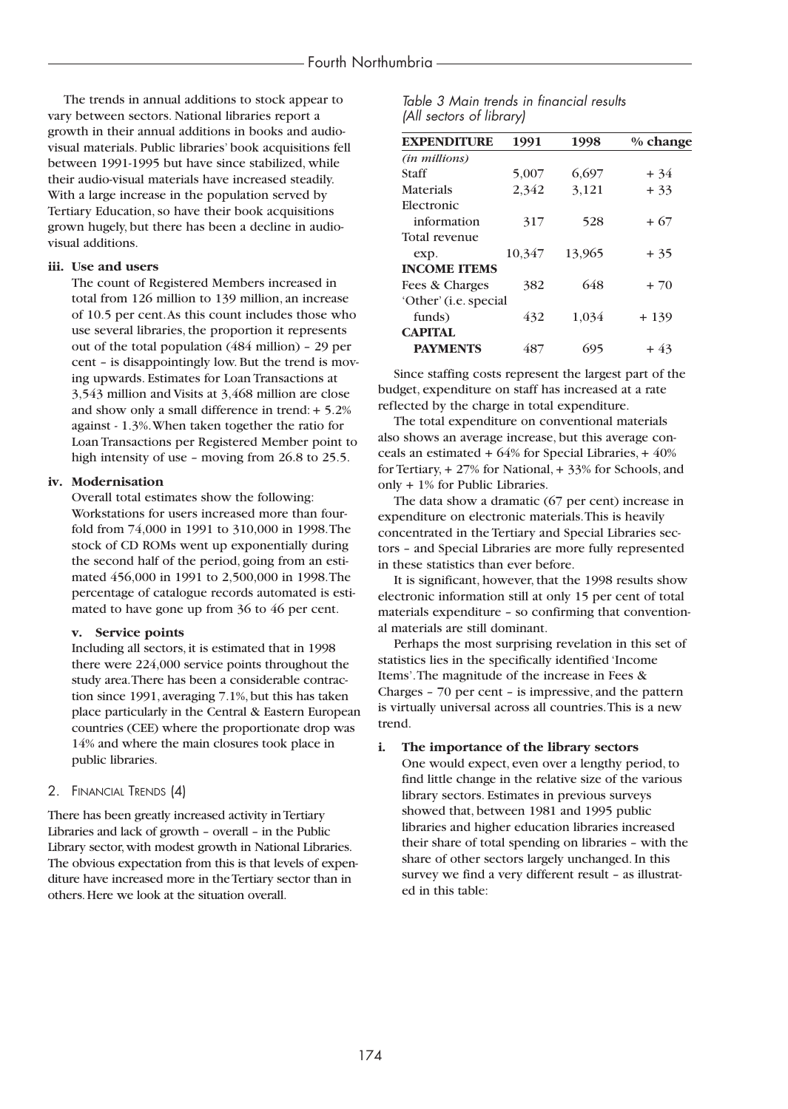The trends in annual additions to stock appear to vary between sectors. National libraries report a growth in their annual additions in books and audiovisual materials. Public libraries' book acquisitions fell between 1991-1995 but have since stabilized, while their audio-visual materials have increased steadily. With a large increase in the population served by Tertiary Education, so have their book acquisitions grown hugely, but there has been a decline in audiovisual additions.

#### **iii. Use and users**

The count of Registered Members increased in total from 126 million to 139 million, an increase of 10.5 per cent.As this count includes those who use several libraries, the proportion it represents out of the total population (484 million) – 29 per cent – is disappointingly low. But the trend is moving upwards. Estimates for Loan Transactions at 3,543 million and Visits at 3,468 million are close and show only a small difference in trend: + 5.2% against - 1.3%.When taken together the ratio for Loan Transactions per Registered Member point to high intensity of use – moving from 26.8 to 25.5.

#### **iv. Modernisation**

Overall total estimates show the following: Workstations for users increased more than fourfold from 74,000 in 1991 to 310,000 in 1998.The stock of CD ROMs went up exponentially during the second half of the period, going from an estimated 456,000 in 1991 to 2,500,000 in 1998.The percentage of catalogue records automated is estimated to have gone up from 36 to 46 per cent.

#### **v. Service points**

Including all sectors, it is estimated that in 1998 there were 224,000 service points throughout the study area.There has been a considerable contraction since 1991, averaging 7.1%, but this has taken place particularly in the Central & Eastern European countries (CEE) where the proportionate drop was 14% and where the main closures took place in public libraries.

#### 2. FINANCIAL TRENDS (4)

There has been greatly increased activity in Tertiary Libraries and lack of growth – overall – in the Public Library sector,with modest growth in National Libraries. The obvious expectation from this is that levels of expenditure have increased more in the Tertiary sector than in others.Here we look at the situation overall.

| Table 3 Main trends in financial results |  |  |
|------------------------------------------|--|--|
| (All sectors of library)                 |  |  |

| <b>EXPENDITURE</b>    | 1991   | 1998   | $%$ change |
|-----------------------|--------|--------|------------|
| (in millions)         |        |        |            |
| Staff                 | 5,007  | 6,697  | $+34$      |
| <b>Materials</b>      | 2,342  | 3,121  | $+33$      |
| Electronic            |        |        |            |
| information           | 317    | 528    | + 67       |
| Total revenue         |        |        |            |
| exp.                  | 10,347 | 13,965 | $+35$      |
| <b>INCOME ITEMS</b>   |        |        |            |
| Fees & Charges        | 382    | 648    | $+70$      |
| 'Other' (i.e. special |        |        |            |
| funds)                | 432    | 1,034  | $+139$     |
| <b>CAPITAL</b>        |        |        |            |
| <b>PAYMENTS</b>       | 487    | 695    | + 43       |

Since staffing costs represent the largest part of the budget, expenditure on staff has increased at a rate reflected by the charge in total expenditure.

The total expenditure on conventional materials also shows an average increase, but this average conceals an estimated + 64% for Special Libraries, + 40% for Tertiary, + 27% for National, + 33% for Schools, and only + 1% for Public Libraries.

The data show a dramatic (67 per cent) increase in expenditure on electronic materials.This is heavily concentrated in the Tertiary and Special Libraries sectors – and Special Libraries are more fully represented in these statistics than ever before.

It is significant, however, that the 1998 results show electronic information still at only 15 per cent of total materials expenditure – so confirming that conventional materials are still dominant.

Perhaps the most surprising revelation in this set of statistics lies in the specifically identified 'Income Items'.The magnitude of the increase in Fees & Charges – 70 per cent – is impressive, and the pattern is virtually universal across all countries.This is a new trend.

#### **i. The importance of the library sectors**

One would expect, even over a lengthy period, to find little change in the relative size of the various library sectors. Estimates in previous surveys showed that, between 1981 and 1995 public libraries and higher education libraries increased their share of total spending on libraries – with the share of other sectors largely unchanged. In this survey we find a very different result – as illustrated in this table: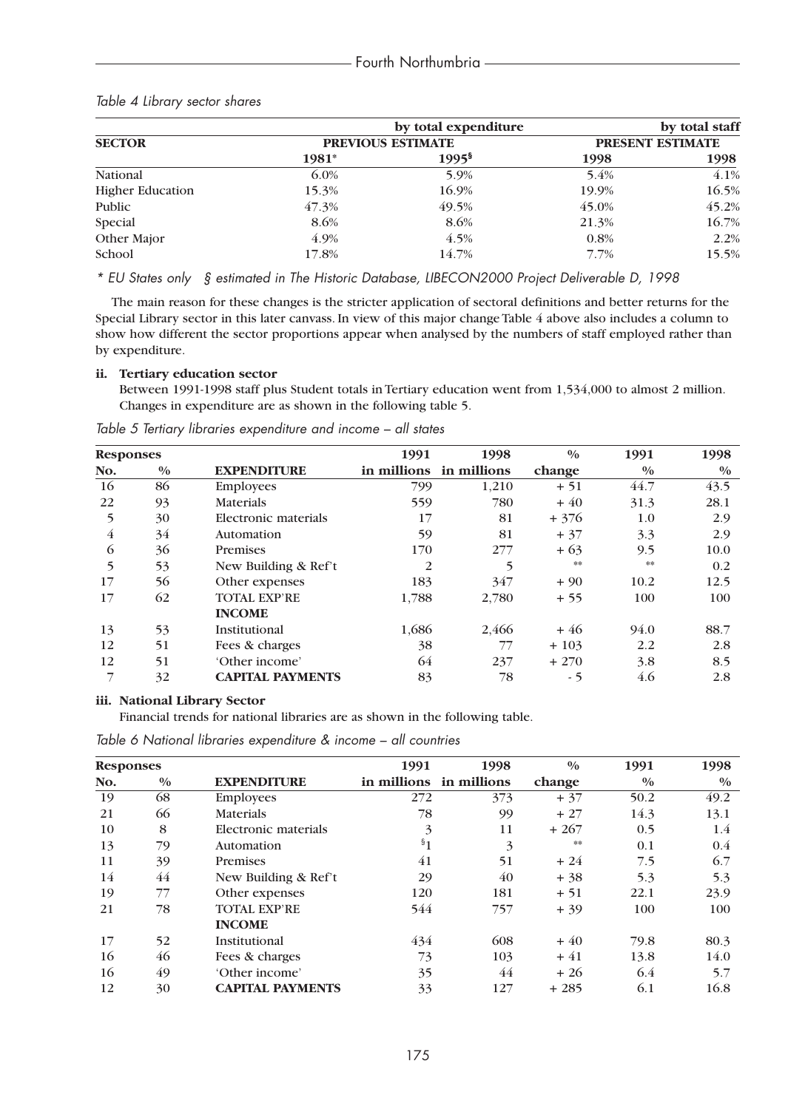|                         |                          | by total expenditure |                  | by total staff |
|-------------------------|--------------------------|----------------------|------------------|----------------|
| <b>SECTOR</b>           | <b>PREVIOUS ESTIMATE</b> |                      | PRESENT ESTIMATE |                |
|                         | 1981*                    | $1995^{\frac{5}{3}}$ | 1998             | 1998           |
| National                | $6.0\%$                  | 5.9%                 | 5.4%             | 4.1%           |
| <b>Higher Education</b> | 15.3%                    | 16.9%                | 19.9%            | 16.5%          |
| Public                  | 47.3%                    | 49.5%                | 45.0%            | 45.2%          |
| Special                 | 8.6%                     | 8.6%                 | 21.3%            | 16.7%          |
| Other Major             | 4.9%                     | 4.5%                 | 0.8%             | 2.2%           |
| School                  | 17.8%                    | 14.7%                | 7.7%             | 15.5%          |

## *Table 4 Library sector shares*

*\* EU States only § estimated in The Historic Database, LIBECON2000 Project Deliverable D, 1998*

The main reason for these changes is the stricter application of sectoral definitions and better returns for the Special Library sector in this later canvass. In view of this major change Table 4 above also includes a column to show how different the sector proportions appear when analysed by the numbers of staff employed rather than by expenditure.

#### **ii. Tertiary education sector**

Between 1991-1998 staff plus Student totals in Tertiary education went from 1,534,000 to almost 2 million. Changes in expenditure are as shown in the following table 5.

| <b>Responses</b> |               |                         | 1991           | 1998                    | $\frac{0}{0}$ | 1991          | 1998          |
|------------------|---------------|-------------------------|----------------|-------------------------|---------------|---------------|---------------|
| No.              | $\frac{0}{0}$ | <b>EXPENDITURE</b>      |                | in millions in millions | change        | $\frac{0}{0}$ | $\frac{0}{0}$ |
| 16               | 86            | <b>Employees</b>        | 799            | 1,210                   | $+51$         | 44.7          | 43.5          |
| 22               | 93            | <b>Materials</b>        | 559            | 780                     | $+40$         | 31.3          | 28.1          |
| 5                | 30            | Electronic materials    | 17             | 81                      | $+376$        | 1.0           | 2.9           |
| 4                | 34            | Automation              | 59             | 81                      | $+37$         | 3.3           | 2.9           |
| 6                | 36            | Premises                | 170            | 277                     | $+63$         | 9.5           | 10.0          |
| 5                | 53            | New Building & Ref't    | $\overline{2}$ | 5                       | **            | **            | 0.2           |
| 17               | 56            | Other expenses          | 183            | 347                     | $+90$         | 10.2          | 12.5          |
| 17               | 62            | <b>TOTAL EXP'RE</b>     | 1,788          | 2,780                   | $+55$         | 100           | 100           |
|                  |               | <b>INCOME</b>           |                |                         |               |               |               |
| 13               | 53            | Institutional           | 1,686          | 2,466                   | $+46$         | 94.0          | 88.7          |
| 12               | 51            | Fees & charges          | 38             | 77                      | $+103$        | 2.2           | 2.8           |
| 12               | 51            | 'Other income'          | 64             | 237                     | $+270$        | 3.8           | 8.5           |
|                  | 32            | <b>CAPITAL PAYMENTS</b> | 83             | 78                      | $-5$          | 4.6           | 2.8           |

*Table 5 Tertiary libraries expenditure and income – all states*

#### **iii. National Library Sector**

Financial trends for national libraries are as shown in the following table.

*Table 6 National libraries expenditure & income – all countries*

| <b>Responses</b> |               |                         | 1991                    | 1998                    | $\frac{0}{0}$ | 1991          | 1998          |
|------------------|---------------|-------------------------|-------------------------|-------------------------|---------------|---------------|---------------|
| No.              | $\frac{0}{0}$ | <b>EXPENDITURE</b>      |                         | in millions in millions | change        | $\frac{0}{0}$ | $\frac{0}{0}$ |
| 19               | 68            | <b>Employees</b>        | 272                     | 373                     | $+37$         | 50.2          | 49.2          |
| 21               | 66            | <b>Materials</b>        | 78                      | 99                      | $+27$         | 14.3          | 13.1          |
| 10               | 8             | Electronic materials    | $\overline{\mathbf{3}}$ | 11                      | $+267$        | 0.5           | $1.4\,$       |
| 13               | 79            | Automation              | $\mathbf{S}_1$          | 3                       | **            | 0.1           | 0.4           |
| 11               | 39            | Premises                | 41                      | 51                      | $+24$         | 7.5           | 6.7           |
| 14               | 44            | New Building & Ref't    | 29                      | 40                      | $+38$         | 5.3           | 5.3           |
| 19               | 77            | Other expenses          | 120                     | 181                     | $+51$         | 22.1          | 23.9          |
| 21               | 78            | <b>TOTAL EXP'RE</b>     | 544                     | 757                     | $+39$         | 100           | 100           |
|                  |               | <b>INCOME</b>           |                         |                         |               |               |               |
| 17               | 52            | Institutional           | 434                     | 608                     | $+40$         | 79.8          | 80.3          |
| 16               | 46            | Fees & charges          | 73                      | 103                     | $+41$         | 13.8          | 14.0          |
| 16               | 49            | 'Other income'          | 35                      | 44                      | $+26$         | 6.4           | 5.7           |
| 12               | 30            | <b>CAPITAL PAYMENTS</b> | 33                      | 127                     | $+285$        | 6.1           | 16.8          |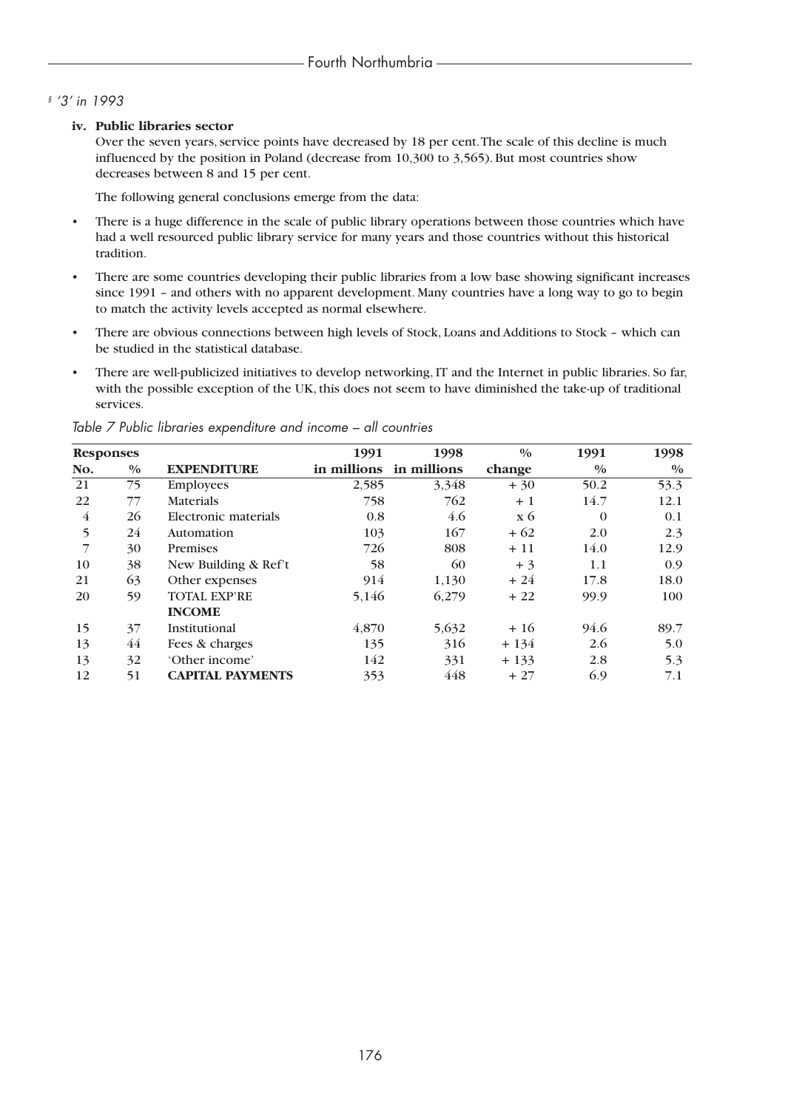## *§ '3' in 1993*

### **iv. Public libraries sector**

Over the seven years, service points have decreased by 18 per cent.The scale of this decline is much influenced by the position in Poland (decrease from 10,300 to 3,565). But most countries show decreases between 8 and 15 per cent.

The following general conclusions emerge from the data:

- There is a huge difference in the scale of public library operations between those countries which have had a well resourced public library service for many years and those countries without this historical tradition.
- There are some countries developing their public libraries from a low base showing significant increases since 1991 – and others with no apparent development. Many countries have a long way to go to begin to match the activity levels accepted as normal elsewhere.
- There are obvious connections between high levels of Stock, Loans and Additions to Stock which can be studied in the statistical database.
- There are well-publicized initiatives to develop networking, IT and the Internet in public libraries. So far, with the possible exception of the UK, this does not seem to have diminished the take-up of traditional services.

| <b>Responses</b> |               |                         | 1991        | 1998        | $\frac{0}{0}$ | 1991          | 1998          |
|------------------|---------------|-------------------------|-------------|-------------|---------------|---------------|---------------|
| No.              | $\frac{0}{0}$ | <b>EXPENDITURE</b>      | in millions | in millions | change        | $\frac{0}{0}$ | $\frac{0}{0}$ |
| 21               | 75            | <b>Employees</b>        | 2,585       | 3,348       | $+30$         | 50.2          | 53.3          |
| 22               | 77            | <b>Materials</b>        | 758         | 762         | $+1$          | 14.7          | 12.1          |
| $\overline{4}$   | 26            | Electronic materials    | 0.8         | 4.6         | $\bar{x}$ 6   | $\Omega$      | 0.1           |
| 5                | 24            | Automation              | 103         | 167         | $+62$         | 2.0           | 2.3           |
|                  | 30            | Premises                | 726         | 808         | $+11$         | 14.0          | 12.9          |
| 10               | 38            | New Building & Ref't    | 58          | 60          | $+3$          | 1.1           | 0.9           |
| 21               | 63            | Other expenses          | 914         | 1,130       | $+24$         | 17.8          | 18.0          |
| 20               | 59            | <b>TOTAL EXP'RE</b>     | 5,146       | 6,279       | $+22$         | 99.9          | 100           |
|                  |               | <b>INCOME</b>           |             |             |               |               |               |
| 15               | 37            | Institutional           | 4,870       | 5,632       | $+16$         | 94.6          | 89.7          |
| 13               | 44            | Fees & charges          | 135         | 316         | $+134$        | 2.6           | 5.0           |
| 13               | 32            | 'Other income'          | 142         | 331         | $+133$        | 2.8           | 5.3           |
| 12               | 51            | <b>CAPITAL PAYMENTS</b> | 353         | 448         | $+27$         | 6.9           | 7.1           |

*Table 7 Public libraries expenditure and income – all countries*